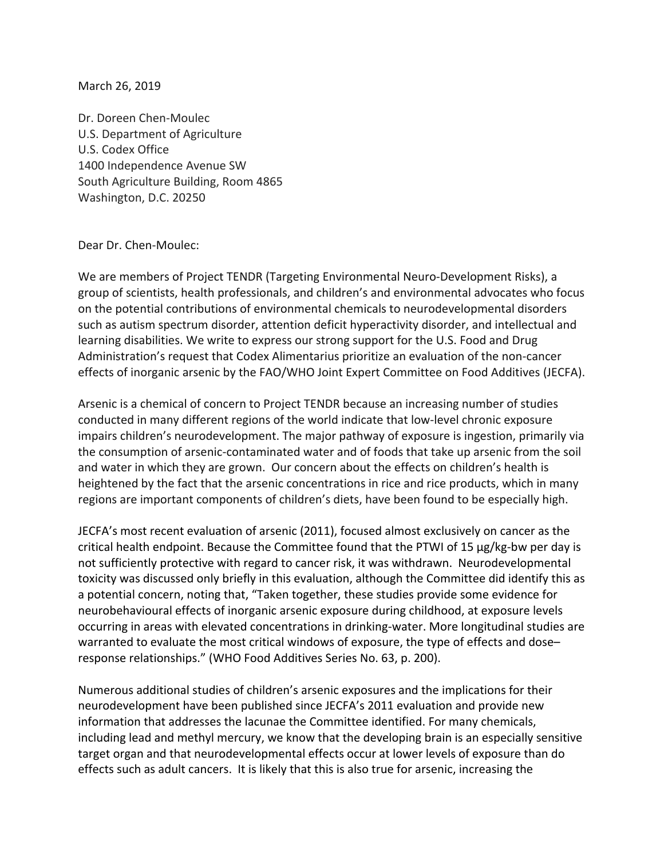March 26, 2019

Dr. Doreen Chen‐Moulec U.S. Department of Agriculture U.S. Codex Office 1400 Independence Avenue SW South Agriculture Building, Room 4865 Washington, D.C. 20250

Dear Dr. Chen‐Moulec:

We are members of Project TENDR (Targeting Environmental Neuro-Development Risks), a group of scientists, health professionals, and children's and environmental advocates who focus on the potential contributions of environmental chemicals to neurodevelopmental disorders such as autism spectrum disorder, attention deficit hyperactivity disorder, and intellectual and learning disabilities. We write to express our strong support for the U.S. Food and Drug Administration's request that Codex Alimentarius prioritize an evaluation of the non‐cancer effects of inorganic arsenic by the FAO/WHO Joint Expert Committee on Food Additives (JECFA).

Arsenic is a chemical of concern to Project TENDR because an increasing number of studies conducted in many different regions of the world indicate that low‐level chronic exposure impairs children's neurodevelopment. The major pathway of exposure is ingestion, primarily via the consumption of arsenic‐contaminated water and of foods that take up arsenic from the soil and water in which they are grown. Our concern about the effects on children's health is heightened by the fact that the arsenic concentrations in rice and rice products, which in many regions are important components of children's diets, have been found to be especially high.

JECFA's most recent evaluation of arsenic (2011), focused almost exclusively on cancer as the critical health endpoint. Because the Committee found that the PTWI of 15 µg/kg‐bw per day is not sufficiently protective with regard to cancer risk, it was withdrawn. Neurodevelopmental toxicity was discussed only briefly in this evaluation, although the Committee did identify this as a potential concern, noting that, "Taken together, these studies provide some evidence for neurobehavioural effects of inorganic arsenic exposure during childhood, at exposure levels occurring in areas with elevated concentrations in drinking‐water. More longitudinal studies are warranted to evaluate the most critical windows of exposure, the type of effects and dose– response relationships." (WHO Food Additives Series No. 63, p. 200).

Numerous additional studies of children's arsenic exposures and the implications for their neurodevelopment have been published since JECFA's 2011 evaluation and provide new information that addresses the lacunae the Committee identified. For many chemicals, including lead and methyl mercury, we know that the developing brain is an especially sensitive target organ and that neurodevelopmental effects occur at lower levels of exposure than do effects such as adult cancers. It is likely that this is also true for arsenic, increasing the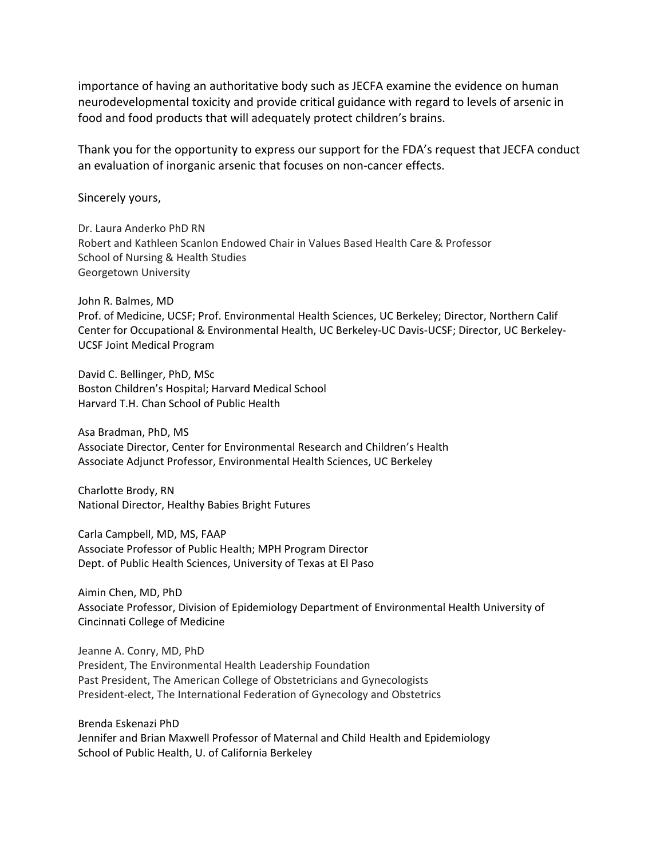importance of having an authoritative body such as JECFA examine the evidence on human neurodevelopmental toxicity and provide critical guidance with regard to levels of arsenic in food and food products that will adequately protect children's brains.

Thank you for the opportunity to express our support for the FDA's request that JECFA conduct an evaluation of inorganic arsenic that focuses on non‐cancer effects.

Sincerely yours,

Dr. Laura Anderko PhD RN Robert and Kathleen Scanlon Endowed Chair in Values Based Health Care & Professor School of Nursing & Health Studies Georgetown University

John R. Balmes, MD Prof. of Medicine, UCSF; Prof. Environmental Health Sciences, UC Berkeley; Director, Northern Calif Center for Occupational & Environmental Health, UC Berkeley‐UC Davis‐UCSF; Director, UC Berkeley‐ UCSF Joint Medical Program

David C. Bellinger, PhD, MSc Boston Children's Hospital; Harvard Medical School Harvard T.H. Chan School of Public Health

Asa Bradman, PhD, MS Associate Director, Center for Environmental Research and Children's Health Associate Adjunct Professor, Environmental Health Sciences, UC Berkeley

Charlotte Brody, RN National Director, Healthy Babies Bright Futures

Carla Campbell, MD, MS, FAAP Associate Professor of Public Health; MPH Program Director Dept. of Public Health Sciences, University of Texas at El Paso

Aimin Chen, MD, PhD Associate Professor, Division of Epidemiology Department of Environmental Health University of Cincinnati College of Medicine

Jeanne A. Conry, MD, PhD President, The Environmental Health Leadership Foundation Past President, The American College of Obstetricians and Gynecologists President‐elect, The International Federation of Gynecology and Obstetrics

Brenda Eskenazi PhD Jennifer and Brian Maxwell Professor of Maternal and Child Health and Epidemiology School of Public Health, U. of California Berkeley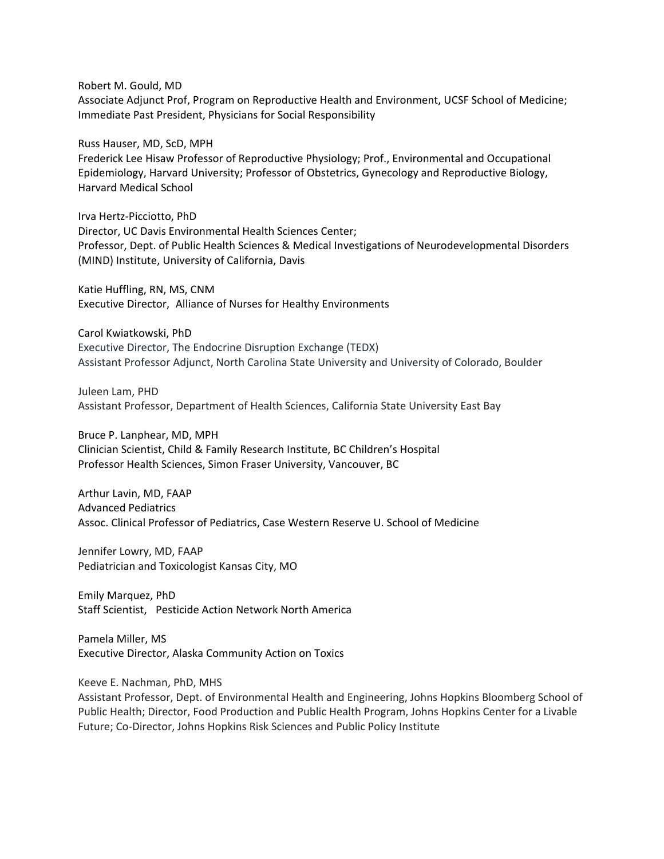Robert M. Gould, MD

Associate Adjunct Prof, Program on Reproductive Health and Environment, UCSF School of Medicine; Immediate Past President, Physicians for Social Responsibility

Russ Hauser, MD, ScD, MPH

Frederick Lee Hisaw Professor of Reproductive Physiology; Prof., Environmental and Occupational Epidemiology, Harvard University; Professor of Obstetrics, Gynecology and Reproductive Biology, Harvard Medical School

Irva Hertz‐Picciotto, PhD Director, UC Davis Environmental Health Sciences Center; Professor, Dept. of Public Health Sciences & Medical Investigations of Neurodevelopmental Disorders (MIND) Institute, University of California, Davis

Katie Huffling, RN, MS, CNM Executive Director, Alliance of Nurses for Healthy Environments

Carol Kwiatkowski, PhD Executive Director, The Endocrine Disruption Exchange (TEDX) Assistant Professor Adjunct, North Carolina State University and University of Colorado, Boulder

Juleen Lam, PHD Assistant Professor, Department of Health Sciences, California State University East Bay

Bruce P. Lanphear, MD, MPH Clinician Scientist, Child & Family Research Institute, BC Children's Hospital Professor Health Sciences, Simon Fraser University, Vancouver, BC

Arthur Lavin, MD, FAAP Advanced Pediatrics Assoc. Clinical Professor of Pediatrics, Case Western Reserve U. School of Medicine

Jennifer Lowry, MD, FAAP Pediatrician and Toxicologist Kansas City, MO

Emily Marquez, PhD Staff Scientist, Pesticide Action Network North America

Pamela Miller, MS Executive Director, Alaska Community Action on Toxics

Keeve E. Nachman, PhD, MHS

Assistant Professor, Dept. of Environmental Health and Engineering, Johns Hopkins Bloomberg School of Public Health; Director, Food Production and Public Health Program, Johns Hopkins Center for a Livable Future; Co‐Director, Johns Hopkins Risk Sciences and Public Policy Institute